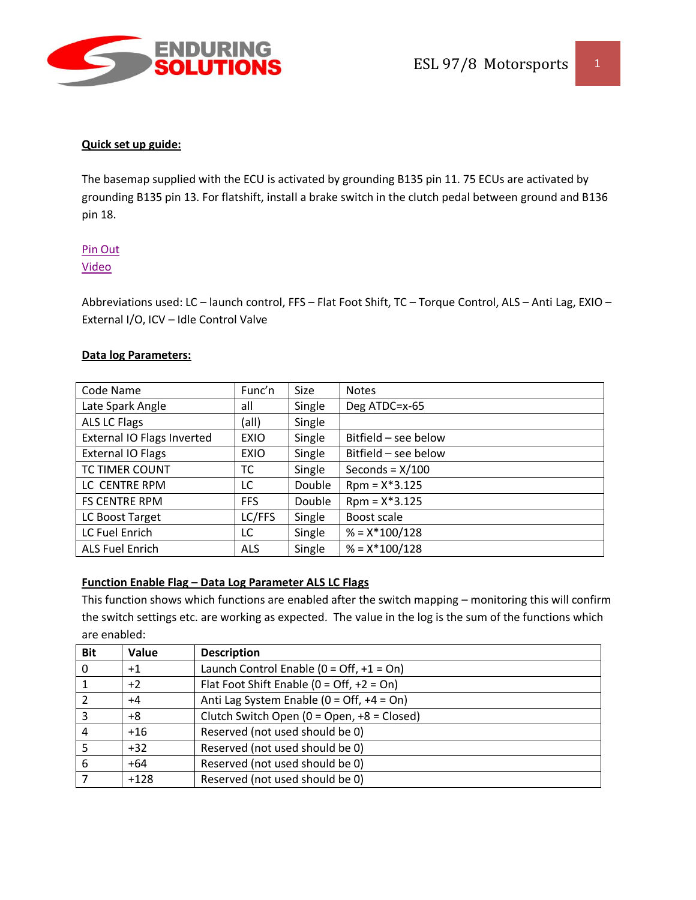

The basemap supplied with the ECU is activated by grounding B135 pin 11. 75 ECUs are activated by grounding B135 pin 13. For flatshift, install a brake switch in the clutch pedal between ground and B136 pin 18.

## [Pin Out](http://www.enduringsolutions.com/ECU978pinout.pdf)

#### [Video](https://www.youtube.com/watch?v=8AJAUA_F89s)

Abbreviations used: LC – launch control, FFS – Flat Foot Shift, TC – Torque Control, ALS – Anti Lag, EXIO – External I/O, ICV – Idle Control Valve

#### **Data log Parameters:**

| Code Name                         | Func'n      | Size   | <b>Notes</b>         |
|-----------------------------------|-------------|--------|----------------------|
| Late Spark Angle                  | all         | Single | Deg ATDC=x-65        |
| <b>ALS LC Flags</b>               | (all)       | Single |                      |
| <b>External IO Flags Inverted</b> | <b>EXIO</b> | Single | Bitfield – see below |
| <b>External IO Flags</b>          | <b>EXIO</b> | Single | Bitfield – see below |
| TC TIMER COUNT                    | тс          | Single | Seconds = $X/100$    |
| LC CENTRE RPM                     | LC          | Double | $Rpm = X*3.125$      |
| <b>FS CENTRE RPM</b>              | <b>FFS</b>  | Double | $Rpm = X*3.125$      |
| LC Boost Target                   | LC/FFS      | Single | Boost scale          |
| LC Fuel Enrich                    | LC          | Single | $% = X*100/128$      |
| <b>ALS Fuel Enrich</b>            | <b>ALS</b>  | Single | $% = X*100/128$      |

#### **Function Enable Flag – Data Log Parameter ALS LC Flags**

This function shows which functions are enabled after the switch mapping – monitoring this will confirm the switch settings etc. are working as expected. The value in the log is the sum of the functions which are enabled:

| <b>Bit</b> | Value  | <b>Description</b>                                          |
|------------|--------|-------------------------------------------------------------|
| 0          | $+1$   | Launch Control Enable ( $0 = \text{Off}, +1 = \text{On}$ )  |
| 1          | $+2$   | Flat Foot Shift Enable ( $0 = \text{Off}, +2 = \text{On}$ ) |
| 2          | $+4$   | Anti Lag System Enable ( $0 = Off$ , +4 = On)               |
| 3          | $+8$   | Clutch Switch Open (0 = Open, +8 = Closed)                  |
| 4          | $+16$  | Reserved (not used should be 0)                             |
|            | $+32$  | Reserved (not used should be 0)                             |
| 6          | $+64$  | Reserved (not used should be 0)                             |
|            | $+128$ | Reserved (not used should be 0)                             |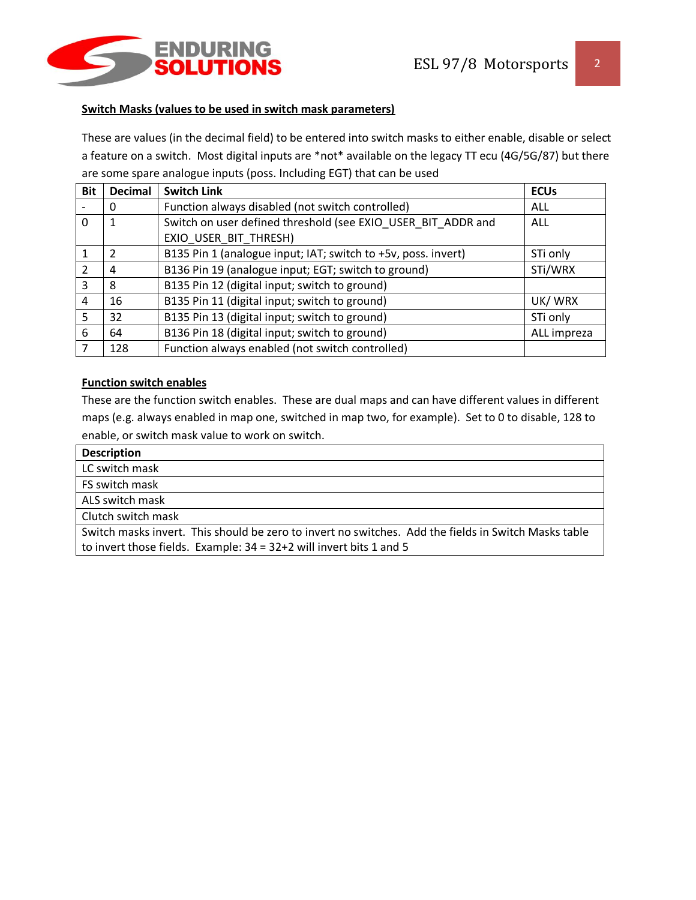

#### **Switch Masks (values to be used in switch mask parameters)**

These are values (in the decimal field) to be entered into switch masks to either enable, disable or select a feature on a switch. Most digital inputs are \*not\* available on the legacy TT ecu (4G/5G/87) but there are some spare analogue inputs (poss. Including EGT) that can be used

| <b>Bit</b>    | <b>Decimal</b> | <b>Switch Link</b>                                            | <b>ECUs</b> |
|---------------|----------------|---------------------------------------------------------------|-------------|
|               | O              | Function always disabled (not switch controlled)              | ALL         |
| 0             | 1              | Switch on user defined threshold (see EXIO_USER BIT ADDR and  | <b>ALL</b>  |
|               |                | EXIO_USER_BIT_THRESH)                                         |             |
|               | 2              | B135 Pin 1 (analogue input; IAT; switch to +5v, poss. invert) | STi only    |
| $\mathcal{P}$ | 4              | B136 Pin 19 (analogue input; EGT; switch to ground)           | STi/WRX     |
| 3             | 8              | B135 Pin 12 (digital input; switch to ground)                 |             |
| 4             | 16             | B135 Pin 11 (digital input; switch to ground)                 | UK/WRX      |
| 5             | 32             | B135 Pin 13 (digital input; switch to ground)                 | STi only    |
| 6             | 64             | B136 Pin 18 (digital input; switch to ground)                 | ALL impreza |
|               | 128            | Function always enabled (not switch controlled)               |             |

### **Function switch enables**

These are the function switch enables. These are dual maps and can have different values in different maps (e.g. always enabled in map one, switched in map two, for example). Set to 0 to disable, 128 to enable, or switch mask value to work on switch.

| <b>Description</b>                                                                                   |
|------------------------------------------------------------------------------------------------------|
| LC switch mask                                                                                       |
| FS switch mask                                                                                       |
| ALS switch mask                                                                                      |
| Clutch switch mask                                                                                   |
| Switch masks invert. This should be zero to invert no switches. Add the fields in Switch Masks table |
| to invert those fields. Example: $34 = 32+2$ will invert bits 1 and 5                                |